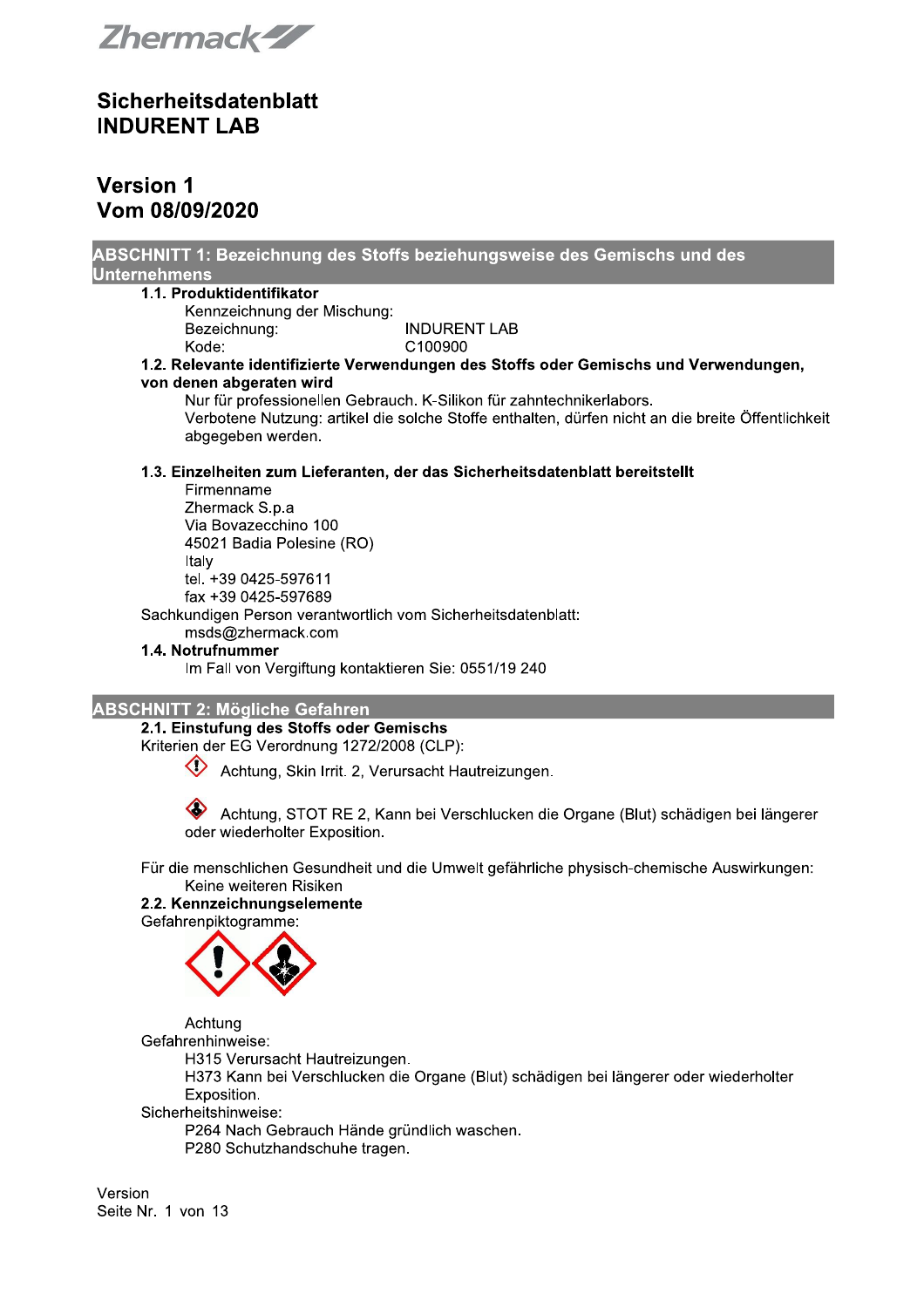Zhermack<sup>27</sup>

### **Version 1** Vom 08/09/2020

| <b>Unternehmens</b>                                           | ABSCHNITT 1: Bezeichnung des Stoffs beziehungsweise des Gemischs und des                                                                                                  |
|---------------------------------------------------------------|---------------------------------------------------------------------------------------------------------------------------------------------------------------------------|
| 1.1. Produktidentifikator                                     |                                                                                                                                                                           |
| Kennzeichnung der Mischung:                                   |                                                                                                                                                                           |
| Bezeichnung:                                                  | <b>INDURENT LAB</b>                                                                                                                                                       |
| Kode:                                                         | C100900                                                                                                                                                                   |
|                                                               | 1.2. Relevante identifizierte Verwendungen des Stoffs oder Gemischs und Verwendungen,                                                                                     |
| von denen abgeraten wird                                      |                                                                                                                                                                           |
| abgegeben werden.                                             | Nur für professionellen Gebrauch. K-Silikon für zahntechnikerlabors.<br>Verbotene Nutzung: artikel die solche Stoffe enthalten, dürfen nicht an die breite Öffentlichkeit |
|                                                               | 1.3. Einzelheiten zum Lieferanten, der das Sicherheitsdatenblatt bereitstellt                                                                                             |
| Firmenname                                                    |                                                                                                                                                                           |
| Zhermack S.p.a                                                |                                                                                                                                                                           |
| Via Bovazecchino 100                                          |                                                                                                                                                                           |
| 45021 Badia Polesine (RO)<br>Italy                            |                                                                                                                                                                           |
| tel. +39 0425-597611                                          |                                                                                                                                                                           |
| fax +39 0425-597689                                           |                                                                                                                                                                           |
| Sachkundigen Person verantwortlich vom Sicherheitsdatenblatt: |                                                                                                                                                                           |
| msds@zhermack.com                                             |                                                                                                                                                                           |
| 1.4. Notrufnummer                                             |                                                                                                                                                                           |
| Im Fall von Vergiftung kontaktieren Sie: 0551/19 240          |                                                                                                                                                                           |
| <b>ABSCHNITT 2: Mögliche Gefahren</b>                         |                                                                                                                                                                           |
| 2.1. Einstufung des Stoffs oder Gemischs                      |                                                                                                                                                                           |
| Kriterien der EG Verordnung 1272/2008 (CLP):                  |                                                                                                                                                                           |
| Achtung, Skin Irrit. 2, Verursacht Hautreizungen.             |                                                                                                                                                                           |
| oder wiederholter Exposition.                                 | Achtung, STOT RE 2, Kann bei Verschlucken die Organe (Blut) schädigen bei längerer                                                                                        |
|                                                               | Für die menechlichen Cequadheit und die Umwelt gefährliche physicah ehemische Augustungen                                                                                 |

Für die menschlichen Gesundheit und die Umwelt gefährliche physisch-chemische Auswirkungen: Keine weiteren Risiken

#### 2.2. Kennzeichnungselemente

Gefahrenpiktogramme:



Achtung Gefahrenhinweise: H315 Verursacht Hautreizungen. H373 Kann bei Verschlucken die Organe (Blut) schädigen bei längerer oder wiederholter Exposition. Sicherheitshinweise:

P264 Nach Gebrauch Hände gründlich waschen. P280 Schutzhandschuhe tragen.

Version Seite Nr. 1 von 13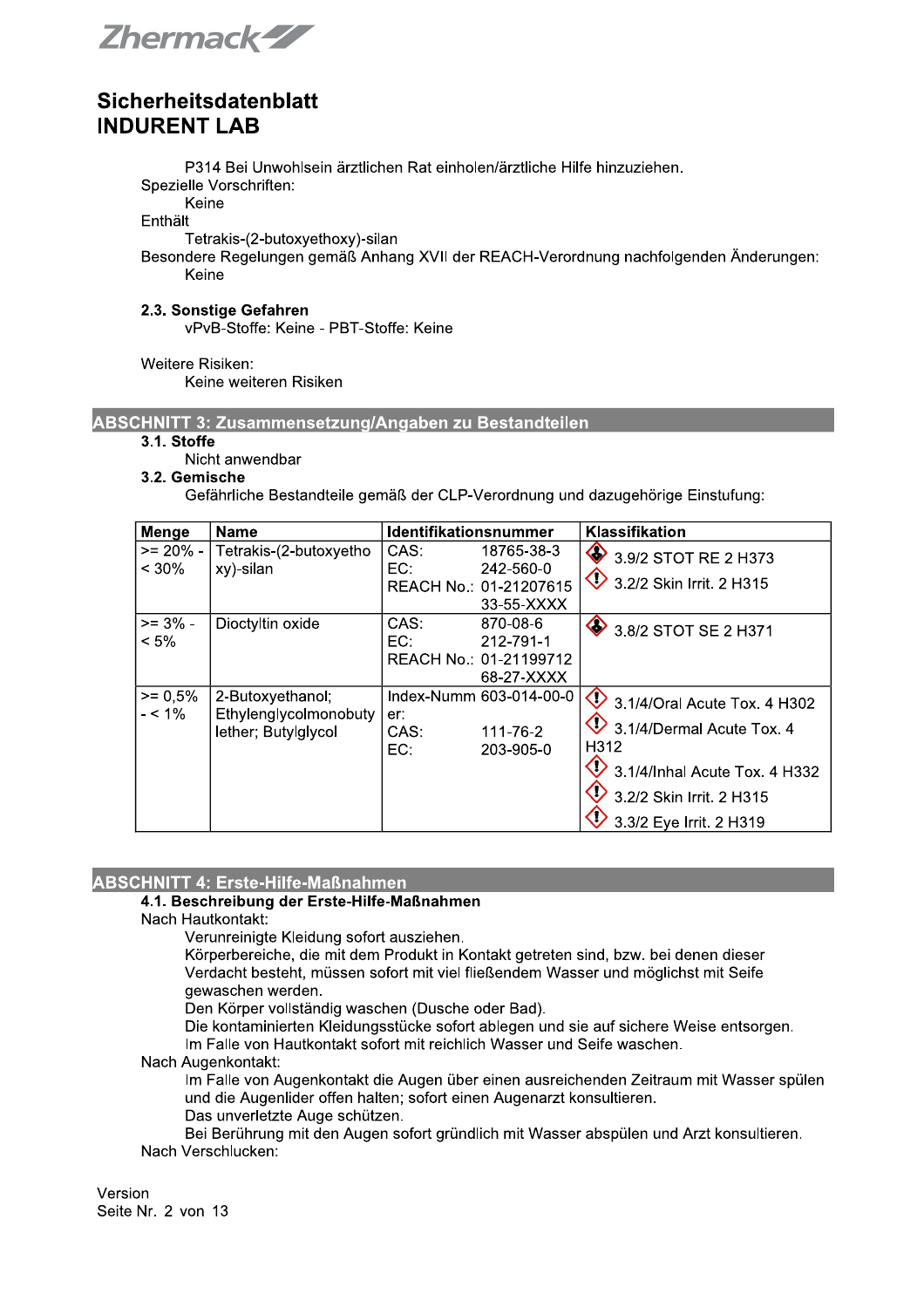Zhermack-ZZ

P314 Bei Unwohlsein ärztlichen Rat einholen/ärztliche Hilfe hinzuziehen.

Spezielle Vorschriften:

Keine

Enthält

Tetrakis-(2-butoxyethoxy)-silan

Besondere Regelungen gemäß Anhang XVII der REACH-Verordnung nachfolgenden Änderungen: Keine

#### 2.3. Sonstige Gefahren

vPvB-Stoffe: Keine - PBT-Stoffe: Keine

Weitere Risiken:

Keine weiteren Risiken

#### ABSCHNITT 3: Zusammensetzung/Angaben zu Bestandteilen

#### $3.1.$  Stoffe

Nicht anwendbar

### 3.2. Gemische

Gefährliche Bestandteile gemäß der CLP-Verordnung und dazugehörige Einstufung:

| Menge                     | <b>Name</b>                                                      | <b>Identifikationsnummer</b>                                                   | Klassifikation                                                                                                                                                                     |
|---------------------------|------------------------------------------------------------------|--------------------------------------------------------------------------------|------------------------------------------------------------------------------------------------------------------------------------------------------------------------------------|
| $>= 20\% - 1$<br>$< 30\%$ | Tetrakis-(2-butoxyetho<br>xy)-silan                              | CAS:<br>18765-38-3<br>EC:<br>242-560-0<br>REACH No.: 01-21207615<br>33-55-XXXX | 3.9/2 STOT RE 2 H373<br>3.2/2 Skin Irrit. 2 H315                                                                                                                                   |
| $>= 3\% -$<br>$< 5\%$     | Dioctyltin oxide                                                 | CAS:<br>870-08-6<br>EC:<br>212-791-1<br>REACH No.: 01-21199712<br>68-27-XXXX   | 3.8/2 STOT SE 2 H371                                                                                                                                                               |
| $>= 0.5%$<br>$- < 1\%$    | 2-Butoxyethanol;<br>Ethylenglycolmonobuty<br>lether; Butylglycol | Index-Numm 603-014-00-0<br>er:<br>111-76-2<br>CAS:<br>EC:<br>203-905-0         | 3.1/4/Oral Acute Tox. 4 H302<br>3.1/4/Dermal Acute Tox. 4<br>H312<br>$\bullet$ 3.1/4/Inhal Acute Tox. 4 H332<br>$\overline{3}$ 3.2/2 Skin Irrit. 2 H315<br>3.3/2 Eye Irrit. 2 H319 |

# ABSCHNITT 4: Erste-Hilfe-Maßnahmen

#### 4.1. Beschreibung der Erste-Hilfe-Maßnahmen

Nach Hautkontakt:

Verunreinigte Kleidung sofort ausziehen.

Körperbereiche, die mit dem Produkt in Kontakt getreten sind, bzw. bei denen dieser Verdacht besteht, müssen sofort mit viel fließendem Wasser und möglichst mit Seife gewaschen werden.

Den Körper vollständig waschen (Dusche oder Bad).

Die kontaminierten Kleidungsstücke sofort ablegen und sie auf sichere Weise entsorgen.

Im Falle von Hautkontakt sofort mit reichlich Wasser und Seife waschen.

### Nach Augenkontakt:

Im Falle von Augenkontakt die Augen über einen ausreichenden Zeitraum mit Wasser spülen und die Augenlider offen halten; sofort einen Augenarzt konsultieren. Das unverletzte Auge schützen.

Bei Berührung mit den Augen sofort gründlich mit Wasser abspülen und Arzt konsultieren. Nach Verschlucken:

Version Seite Nr. 2 von 13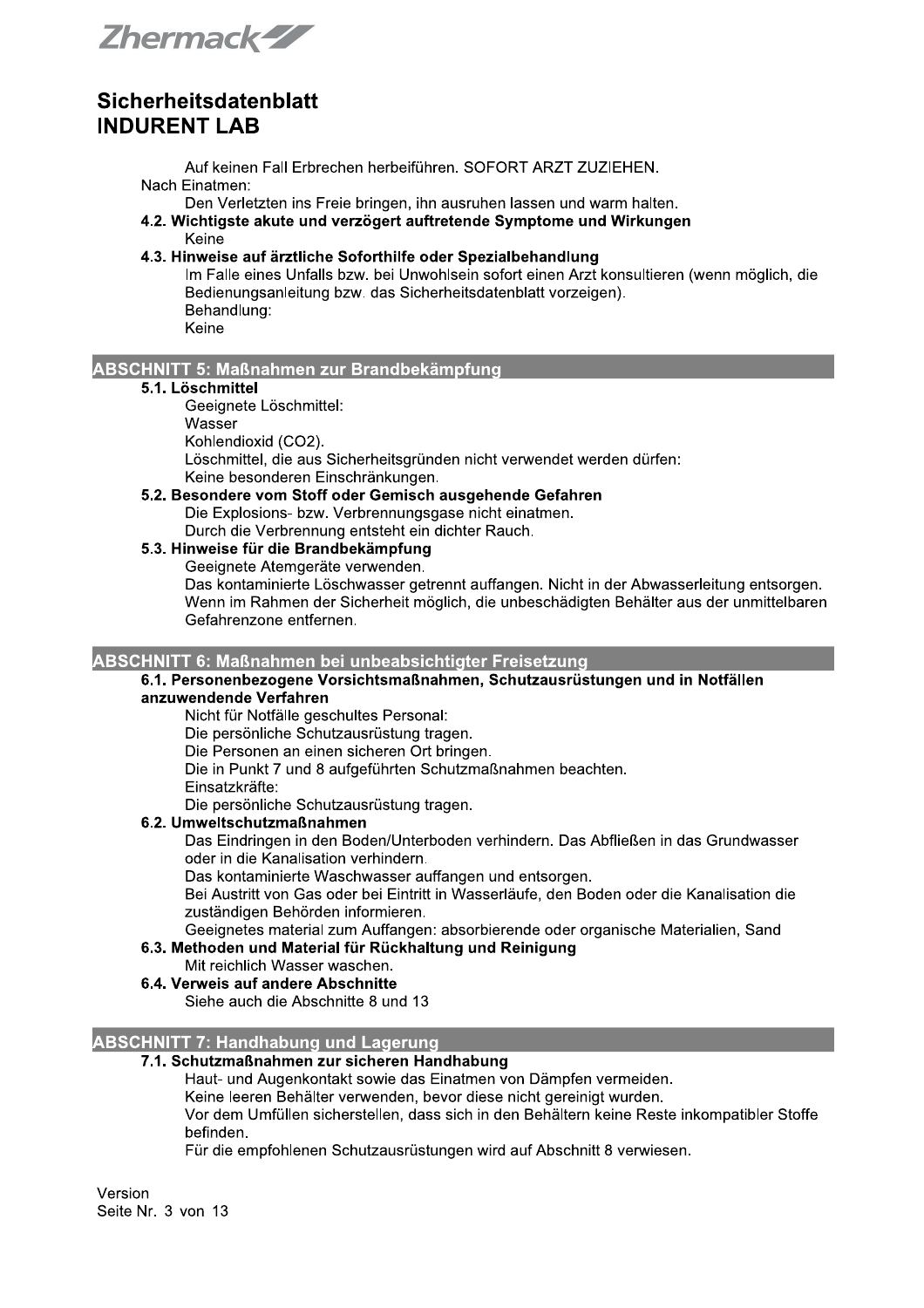Zhermack-ZZ

Auf keinen Fall Erbrechen herbeiführen. SOFORT ARZT ZUZIEHEN. Nach Einatmen:

Den Verletzten ins Freie bringen, ihn ausruhen lassen und warm halten.

- 4.2. Wichtigste akute und verzögert auftretende Symptome und Wirkungen Keine
- 4.3. Hinweise auf ärztliche Soforthilfe oder Spezialbehandlung

Im Falle eines Unfalls bzw. bei Unwohlsein sofort einen Arzt konsultieren (wenn möglich, die Bedienungsanleitung bzw. das Sicherheitsdatenblatt vorzeigen). Behandlung: Keine

#### **ABSCHNITT 5: Maßnahmen zur Brandbekämpfung**

#### 5.1. Löschmittel

Geeignete Löschmittel: Wasser

Kohlendioxid (CO2). Löschmittel, die aus Sicherheitsgründen nicht verwendet werden dürfen: Keine besonderen Einschränkungen.

5.2. Besondere vom Stoff oder Gemisch ausgehende Gefahren Die Explosions- bzw. Verbrennungsgase nicht einatmen. Durch die Verbrennung entsteht ein dichter Rauch.

### 5.3. Hinweise für die Brandbekämpfung

Geeignete Atemgeräte verwenden.

Das kontaminierte Löschwasser getrennt auffangen. Nicht in der Abwasserleitung entsorgen. Wenn im Rahmen der Sicherheit möglich, die unbeschädigten Behälter aus der unmittelbaren Gefahrenzone entfernen.

#### ABSCHNITT 6: Maßnahmen bei unbeabsichtigter Freisetzung

#### 6.1. Personenbezogene Vorsichtsmaßnahmen. Schutzausrüstungen und in Notfällen anzuwendende Verfahren

Nicht für Notfälle geschultes Personal:

Die persönliche Schutzausrüstung tragen.

Die Personen an einen sicheren Ort bringen.

Die in Punkt 7 und 8 aufgeführten Schutzmaßnahmen beachten.

Einsatzkräfte:

Die persönliche Schutzausrüstung tragen.

#### 6.2. Umweltschutzmaßnahmen

Das Eindringen in den Boden/Unterboden verhindern. Das Abfließen in das Grundwasser oder in die Kanalisation verhindern.

Das kontaminierte Waschwasser auffangen und entsorgen.

Bei Austritt von Gas oder bei Eintritt in Wasserläufe, den Boden oder die Kanalisation die zuständigen Behörden informieren.

Geeignetes material zum Auffangen: absorbierende oder organische Materialien. Sand

### 6.3. Methoden und Material für Rückhaltung und Reinigung

Mit reichlich Wasser waschen.

### 6.4. Verweis auf andere Abschnitte

Siehe auch die Abschnitte 8 und 13

#### **ABSCHNITT 7: Handhabung und Lagerung**

#### 7.1. Schutzmaßnahmen zur sicheren Handhabung

Haut- und Augenkontakt sowie das Einatmen von Dämpfen vermeiden.

Keine leeren Behälter verwenden, bevor diese nicht gereinigt wurden.

Vor dem Umfüllen sicherstellen, dass sich in den Behältern keine Reste inkompatibler Stoffe befinden.

Für die empfohlenen Schutzausrüstungen wird auf Abschnitt 8 verwiesen.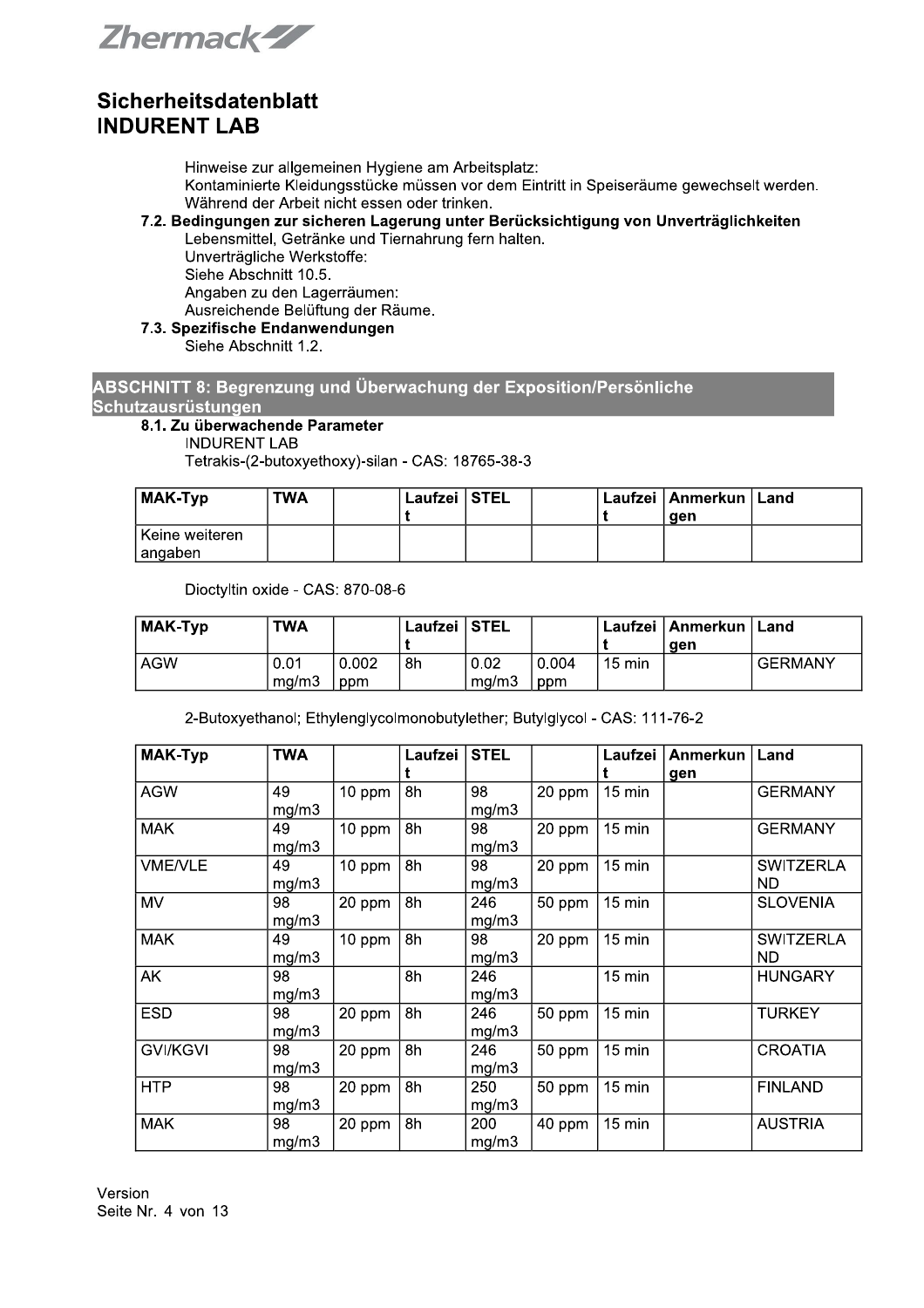Zhermack-ZZ

Hinweise zur allgemeinen Hygiene am Arbeitsplatz: Kontaminierte Kleidungsstücke müssen vor dem Eintritt in Speiseräume gewechselt werden. Während der Arbeit nicht essen oder trinken.

# 7.2. Bedingungen zur sicheren Lagerung unter Berücksichtigung von Unverträglichkeiten

Lebensmittel, Getränke und Tiernahrung fern halten. Unverträgliche Werkstoffe: Siehe Abschnitt 10.5. Angaben zu den Lagerräumen: Ausreichende Belüftung der Räume.

7.3. Spezifische Endanwendungen Siehe Abschnitt 1.2.

ABSCHNITT 8: Begrenzung und Überwachung der Exposition/Persönliche **Schutzausrüstungen** 

### 8.1. Zu überwachende Parameter

**INDURENT LAB** 

Tetrakis-(2-butoxyethoxy)-silan - CAS: 18765-38-3

| <b>MAK-Typ</b>               | TWA | Laufzei STEL |  | l Laufzei ⊺Anmerkun ∣ Land<br>aen |  |
|------------------------------|-----|--------------|--|-----------------------------------|--|
| l Keine weiteren.<br>angaben |     |              |  |                                   |  |

Dioctyltin oxide - CAS: 870-08-6

| MAK-Typ | TWA   |       | Laufzei STEL |       |       |                  | Laufzei   Anmerkun   Land |                |
|---------|-------|-------|--------------|-------|-------|------------------|---------------------------|----------------|
|         |       |       |              |       |       |                  | aen                       |                |
| l AGW   | 0.01  | 0.002 | 8h           | 0.02  | 0.004 | $15 \text{ min}$ |                           | <b>GERMANY</b> |
|         | mq/m3 | ppm   |              | ma/m3 | ppm   |                  |                           |                |

2-Butoxyethanol; Ethylenglycolmonobutylether; Butylglycol - CAS: 111-76-2

| <b>MAK-Typ</b>  | <b>TWA</b>  |        | Laufzei l | <b>STEL</b>  |        | Laufzei          | Anmerkun<br>gen | Land                    |
|-----------------|-------------|--------|-----------|--------------|--------|------------------|-----------------|-------------------------|
| <b>AGW</b>      | 49<br>mg/m3 | 10 ppm | 8h        | 98<br>mg/m3  | 20 ppm | 15 min           |                 | <b>GERMANY</b>          |
| <b>MAK</b>      | 49<br>mg/m3 | 10 ppm | 8h        | 98<br>mg/m3  | 20 ppm | $15 \text{ min}$ |                 | <b>GERMANY</b>          |
| <b>VME/VLE</b>  | 49<br>mg/m3 | 10 ppm | 8h        | 98<br>mg/m3  | 20 ppm | 15 min           |                 | <b>SWITZERLA</b><br>ND. |
| <b>MV</b>       | 98<br>mg/m3 | 20 ppm | 8h        | 246<br>mg/m3 | 50 ppm | 15 min           |                 | <b>SLOVENIA</b>         |
| <b>MAK</b>      | 49<br>mg/m3 | 10 ppm | 8h        | 98<br>mg/m3  | 20 ppm | 15 min           |                 | <b>SWITZERLA</b><br>ND. |
| AK              | 98<br>mg/m3 |        | 8h        | 246<br>mg/m3 |        | 15 min           |                 | <b>HUNGARY</b>          |
| <b>ESD</b>      | 98<br>mg/m3 | 20 ppm | 8h        | 246<br>mg/m3 | 50 ppm | 15 min           |                 | <b>TURKEY</b>           |
| <b>GVI/KGVI</b> | 98<br>mg/m3 | 20 ppm | 8h        | 246<br>mg/m3 | 50 ppm | 15 min           |                 | <b>CROATIA</b>          |
| <b>HTP</b>      | 98<br>mg/m3 | 20 ppm | 8h        | 250<br>mg/m3 | 50 ppm | 15 min           |                 | <b>FINLAND</b>          |
| <b>MAK</b>      | 98<br>mg/m3 | 20 ppm | 8h        | 200<br>mg/m3 | 40 ppm | 15 min           |                 | <b>AUSTRIA</b>          |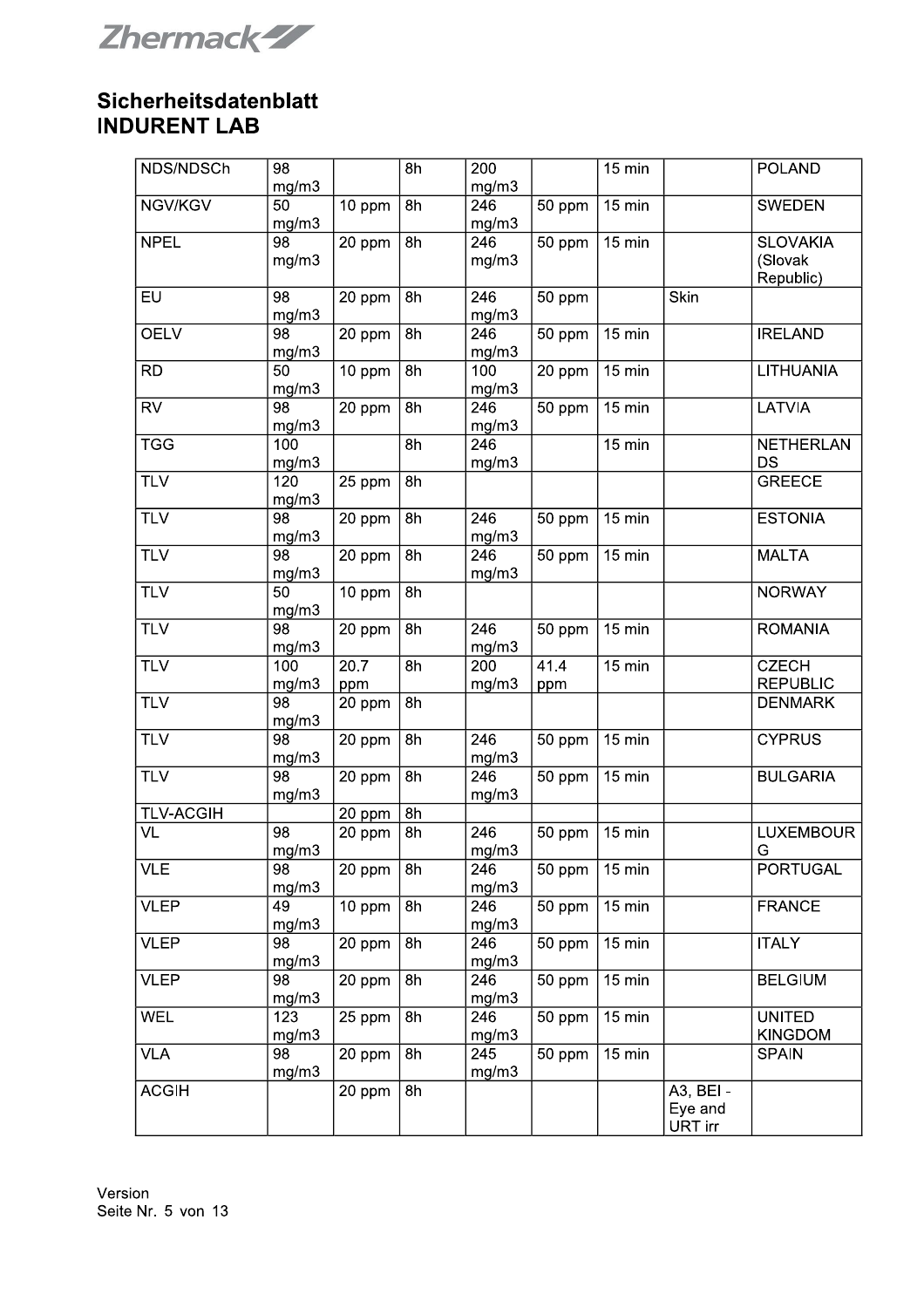**Zhermack-ZZ** 

| NDS/NDSCh        | 98              |        | 8h | 200              |        | 15 min           |           | <b>POLAND</b>    |
|------------------|-----------------|--------|----|------------------|--------|------------------|-----------|------------------|
|                  | mg/m3           |        |    | mg/m3            |        |                  |           |                  |
| NGV/KGV          | 50<br>mg/m3     | 10 ppm | 8h | 246<br>mg/m3     | 50 ppm | 15 min           |           | <b>SWEDEN</b>    |
| <b>NPEL</b>      | 98              | 20 ppm | 8h | 246              | 50 ppm | 15 min           |           | <b>SLOVAKIA</b>  |
|                  | mg/m3           |        |    | mg/m3            |        |                  |           | (Slovak          |
|                  |                 |        |    |                  |        |                  |           | Republic)        |
| <b>EU</b>        | 98              | 20 ppm | 8h | 246              | 50 ppm |                  | Skin      |                  |
|                  | mg/m3           |        |    | mg/m3            |        |                  |           |                  |
| <b>OELV</b>      | 98              | 20 ppm | 8h | 246              | 50 ppm | 15 min           |           | <b>IRELAND</b>   |
|                  | mg/m3           |        |    | mg/m3            |        |                  |           |                  |
| <b>RD</b>        | 50              | 10 ppm | 8h | 100              | 20 ppm | $15 \text{ min}$ |           | LITHUANIA        |
|                  | mg/m3           |        |    | mg/m3            |        |                  |           |                  |
| <b>RV</b>        | $\overline{98}$ | 20 ppm | 8h | 246              | 50 ppm | 15 min           |           | LATVIA           |
|                  | mg/m3           |        |    | mg/m3            |        |                  |           |                  |
| <b>TGG</b>       | 100             |        | 8h | 246              |        | 15 min           |           | <b>NETHERLAN</b> |
|                  |                 |        |    |                  |        |                  |           | <b>DS</b>        |
|                  | mg/m3<br>120    |        |    | mg/m3            |        |                  |           |                  |
| <b>TLV</b>       |                 | 25 ppm | 8h |                  |        |                  |           | <b>GREECE</b>    |
|                  | mg/m3           |        |    |                  |        |                  |           |                  |
| <b>TLV</b>       | 98              | 20 ppm | 8h | 246              | 50 ppm | 15 min           |           | <b>ESTONIA</b>   |
|                  | mg/m3           |        |    | mg/m3            |        |                  |           |                  |
| TLV              | 98              | 20 ppm | 8h | 246              | 50 ppm | $15 \text{ min}$ |           | <b>MALTA</b>     |
|                  | mg/m3           |        |    | mg/m3            |        |                  |           |                  |
| <b>TLV</b>       | 50              | 10 ppm | 8h |                  |        |                  |           | <b>NORWAY</b>    |
|                  | mg/m3           |        |    |                  |        |                  |           |                  |
| <b>TLV</b>       | 98              | 20 ppm | 8h | 246              | 50 ppm | 15 min           |           | <b>ROMANIA</b>   |
|                  | mg/m3           |        |    | mg/m3            |        |                  |           |                  |
| <b>TLV</b>       | 100             | 20.7   | 8h | 200              | 41.4   | 15 min           |           | <b>CZECH</b>     |
|                  | mg/m3           | ppm    |    | mg/m3            | ppm    |                  |           | <b>REPUBLIC</b>  |
| <b>TLV</b>       | 98              | 20 ppm | 8h |                  |        |                  |           | <b>DENMARK</b>   |
|                  | mg/m3           |        |    |                  |        |                  |           |                  |
| <b>TLV</b>       | 98              | 20 ppm | 8h | 246              | 50 ppm | 15 min           |           | <b>CYPRUS</b>    |
|                  | mg/m3           |        |    | mg/m3            |        |                  |           |                  |
| <b>TLV</b>       | 98              | 20 ppm | 8h | 246              | 50 ppm | 15 min           |           | <b>BULGARIA</b>  |
|                  | mg/m3           |        |    | mg/m3            |        |                  |           |                  |
| <b>TLV-ACGIH</b> |                 | 20 ppm | 8h |                  |        |                  |           |                  |
| VL               | 98              | 20 ppm | 8h | 246              | 50 ppm | 15 min           |           | <b>LUXEMBOUR</b> |
|                  | mg/m3           |        |    | mg/m3            |        |                  |           | G                |
| <b>VLE</b>       | 98              | 20 ppm | 8h | 246              | 50 ppm | 15 min           |           | <b>PORTUGAL</b>  |
|                  | mg/m3           |        |    | mg/m3            |        |                  |           |                  |
| <b>VLEP</b>      | 49              | 10 ppm | 8h | 246              | 50 ppm | 15 min           |           | <b>FRANCE</b>    |
|                  | mg/m3           |        |    | mg/m3            |        |                  |           |                  |
|                  |                 |        |    | $\overline{246}$ |        |                  |           |                  |
| <b>VLEP</b>      | 98              | 20 ppm | 8h |                  | 50 ppm | 15 min           |           | <b>ITALY</b>     |
|                  | mg/m3           |        |    | mg/m3            |        |                  |           |                  |
| <b>VLEP</b>      | 98              | 20 ppm | 8h | 246              | 50 ppm | 15 min           |           | <b>BELGIUM</b>   |
|                  | mg/m3           |        |    | mg/m3            |        |                  |           |                  |
| <b>WEL</b>       | 123             | 25 ppm | 8h | 246              | 50 ppm | 15 min           |           | <b>UNITED</b>    |
|                  | mg/m3           |        |    | mg/m3            |        |                  |           | <b>KINGDOM</b>   |
| <b>VLA</b>       | 98              | 20 ppm | 8h | 245              | 50 ppm | $15 \text{ min}$ |           | <b>SPAIN</b>     |
|                  | mg/m3           |        |    | mg/m3            |        |                  |           |                  |
| <b>ACGIH</b>     |                 | 20 ppm | 8h |                  |        |                  | A3, BEI - |                  |
|                  |                 |        |    |                  |        |                  | Eye and   |                  |
|                  |                 |        |    |                  |        |                  | URT irr   |                  |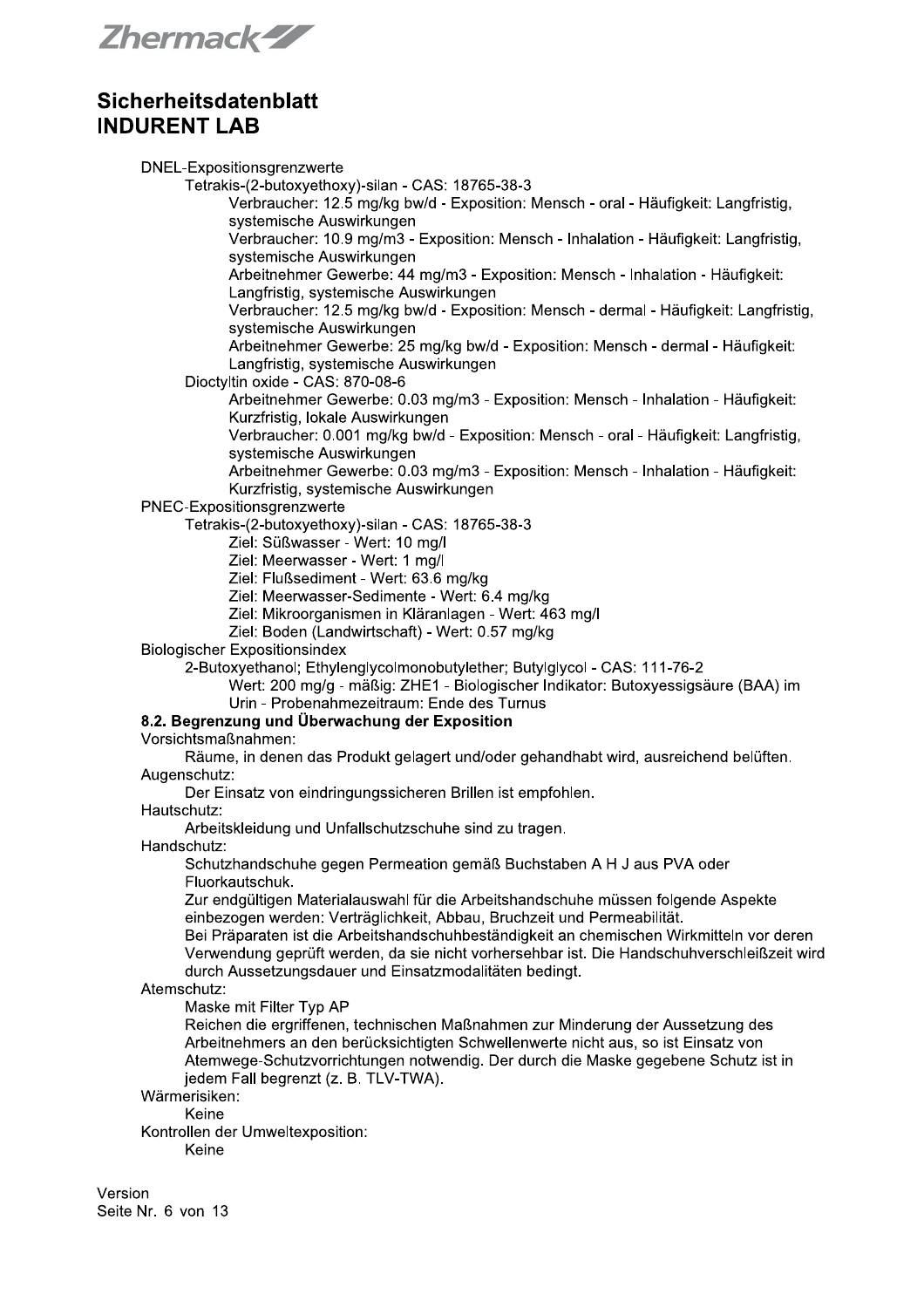Zhermack-ZZ

DNEL-Expositionsgrenzwerte Tetrakis-(2-butoxyethoxy)-silan - CAS: 18765-38-3 Verbraucher: 12.5 mg/kg bw/d - Exposition: Mensch - oral - Häufigkeit: Langfristig, systemische Auswirkungen Verbraucher: 10.9 mg/m3 - Exposition: Mensch - Inhalation - Häufigkeit: Langfristig, systemische Auswirkungen Arbeitnehmer Gewerbe: 44 mg/m3 - Exposition: Mensch - Inhalation - Häufigkeit: Langfristig, systemische Auswirkungen Verbraucher: 12.5 mg/kg bw/d - Exposition: Mensch - dermal - Häufigkeit: Langfristig, systemische Auswirkungen Arbeitnehmer Gewerbe: 25 mg/kg bw/d - Exposition: Mensch - dermal - Häufigkeit: Langfristig, systemische Auswirkungen Dioctyltin oxide - CAS: 870-08-6 Arbeitnehmer Gewerbe: 0.03 mg/m3 - Exposition: Mensch - Inhalation - Häufigkeit: Kurzfristig, lokale Auswirkungen Verbraucher: 0.001 mg/kg bw/d - Exposition: Mensch - oral - Häufigkeit: Langfristig. systemische Auswirkungen Arbeitnehmer Gewerbe: 0.03 mg/m3 - Exposition: Mensch - Inhalation - Häufigkeit: Kurzfristig, systemische Auswirkungen PNEC-Expositionsgrenzwerte Tetrakis-(2-butoxyethoxy)-silan - CAS: 18765-38-3 Ziel: Süßwasser - Wert: 10 mg/l Ziel: Meerwasser - Wert: 1 mg/l Ziel: Flußsediment - Wert: 63.6 mg/kg Ziel: Meerwasser-Sedimente - Wert: 6.4 mg/kg Ziel: Mikroorganismen in Kläranlagen - Wert: 463 mg/l Ziel: Boden (Landwirtschaft) - Wert: 0.57 mg/kg **Biologischer Expositionsindex** 2-Butoxyethanol: Ethylenglycolmonobutylether: Butylglycol - CAS: 111-76-2 Wert: 200 mg/g - mäßig: ZHE1 - Biologischer Indikator: Butoxyessigsäure (BAA) im Urin - Probenahmezeitraum: Ende des Turnus 8.2. Begrenzung und Überwachung der Exposition Vorsichtsmaßnahmen: Räume, in denen das Produkt gelagert und/oder gehandhabt wird, ausreichend belüften. Augenschutz: Der Einsatz von eindringungssicheren Brillen ist empfohlen. Hautschutz: Arbeitskleidung und Unfallschutzschuhe sind zu tragen. Handschutz: Schutzhandschuhe gegen Permeation gemäß Buchstaben A H J aus PVA oder Fluorkautschuk. Zur endgültigen Materialauswahl für die Arbeitshandschuhe müssen folgende Aspekte einbezogen werden: Verträglichkeit, Abbau, Bruchzeit und Permeabilität. Bei Präparaten ist die Arbeitshandschuhbeständigkeit an chemischen Wirkmitteln vor deren Verwendung geprüft werden, da sie nicht vorhersehbar ist. Die Handschuhverschleißzeit wird durch Aussetzungsdauer und Einsatzmodalitäten bedingt. Atemschutz: Maske mit Filter Typ AP Reichen die ergriffenen, technischen Maßnahmen zur Minderung der Aussetzung des Arbeitnehmers an den berücksichtigten Schwellenwerte nicht aus, so ist Einsatz von Atemwege-Schutzvorrichtungen notwendig. Der durch die Maske gegebene Schutz ist in jedem Fall begrenzt (z. B. TLV-TWA). Wärmerisiken: Keine Kontrollen der Umweltexposition: Keine

Version Seite Nr. 6 von 13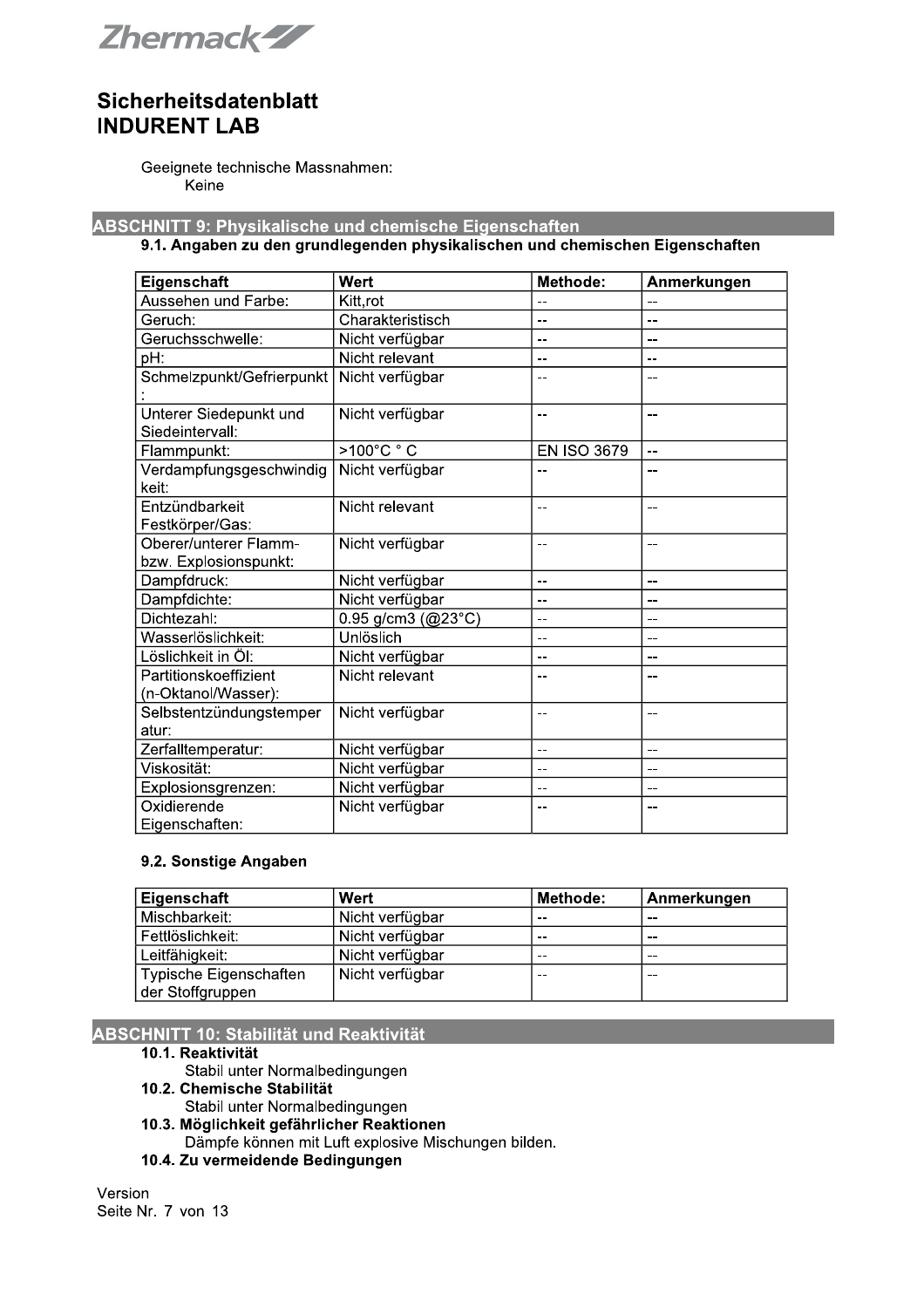

Geeignete technische Massnahmen: Keine

**ABSCHNITT 9: Physikalische und chemische Eigenschaften** 

#### 9.1. Angaben zu den grundlegenden physikalischen und chemischen Eigenschaften

| Eigenschaft                                    | Wert                          | Methode:           | Anmerkungen |
|------------------------------------------------|-------------------------------|--------------------|-------------|
| Aussehen und Farbe:                            | Kitt,rot                      | --                 | --          |
| Geruch:                                        | Charakteristisch              | --                 | --          |
| Geruchsschwelle:                               | Nicht verfügbar               | $-$                | $-$         |
| pH:                                            | Nicht relevant                | --                 | --          |
| Schmelzpunkt/Gefrierpunkt                      | Nicht verfügbar               | --                 | --          |
| Unterer Siedepunkt und<br>Siedeintervall:      | Nicht verfügbar               | $\overline{a}$     | --          |
| Flammpunkt:                                    | >100°C °C                     | <b>EN ISO 3679</b> | $-$         |
| Verdampfungsgeschwindig<br>keit:               | Nicht verfügbar               | --                 | --          |
| Entzündbarkeit<br>Festkörper/Gas:              | Nicht relevant                | $-$                | $-$         |
| Oberer/unterer Flamm-<br>bzw. Explosionspunkt: | Nicht verfügbar               | --                 | --          |
| Dampfdruck:                                    | Nicht verfügbar               | --                 | --          |
| Dampfdichte:                                   | Nicht verfügbar               | --                 | --          |
| Dichtezahl:                                    | 0.95 g/cm3 ( $@23^{\circ}C$ ) | --                 | --          |
| Wasserlöslichkeit:                             | Unlöslich                     | --                 | --          |
| Löslichkeit in Öl:                             | Nicht verfügbar               | --                 | --          |
| Partitionskoeffizient<br>(n-Oktanol/Wasser):   | Nicht relevant                | --                 |             |
| Selbstentzündungstemper                        | Nicht verfügbar               | --                 |             |
| atur:                                          |                               |                    |             |
| Zerfalltemperatur:                             | Nicht verfügbar               | --                 | --          |
| Viskosität:                                    | Nicht verfügbar               | --                 | --          |
| Explosionsgrenzen:                             | Nicht verfügbar               | --                 | --          |
| Oxidierende                                    | Nicht verfügbar               | --                 | --          |
| Eigenschaften:                                 |                               |                    |             |

### 9.2. Sonstige Angaben

| Eigenschaft            | Wert            | Methode: | Anmerkungen |
|------------------------|-----------------|----------|-------------|
| Mischbarkeit:          | Nicht verfügbar | $- -$    | --          |
| Fettlöslichkeit:       | Nicht verfügbar | $- -$    | --          |
| Leitfähigkeit:         | Nicht verfügbar | $- -$    | --          |
| Typische Eigenschaften | Nicht verfügbar | $- -$    | --          |
| der Stoffgruppen       |                 |          |             |

### **ABSCHNITT 10: Stabilität und Reaktivität**

### 10.1. Reaktivität

- Stabil unter Normalbedingungen
- 10.2. Chemische Stabilität
	- Stabil unter Normalbedingungen
- 10.3. Möglichkeit gefährlicher Reaktionen
- Dämpfe können mit Luft explosive Mischungen bilden.
- 10.4. Zu vermeidende Bedingungen

Version Seite Nr. 7 von 13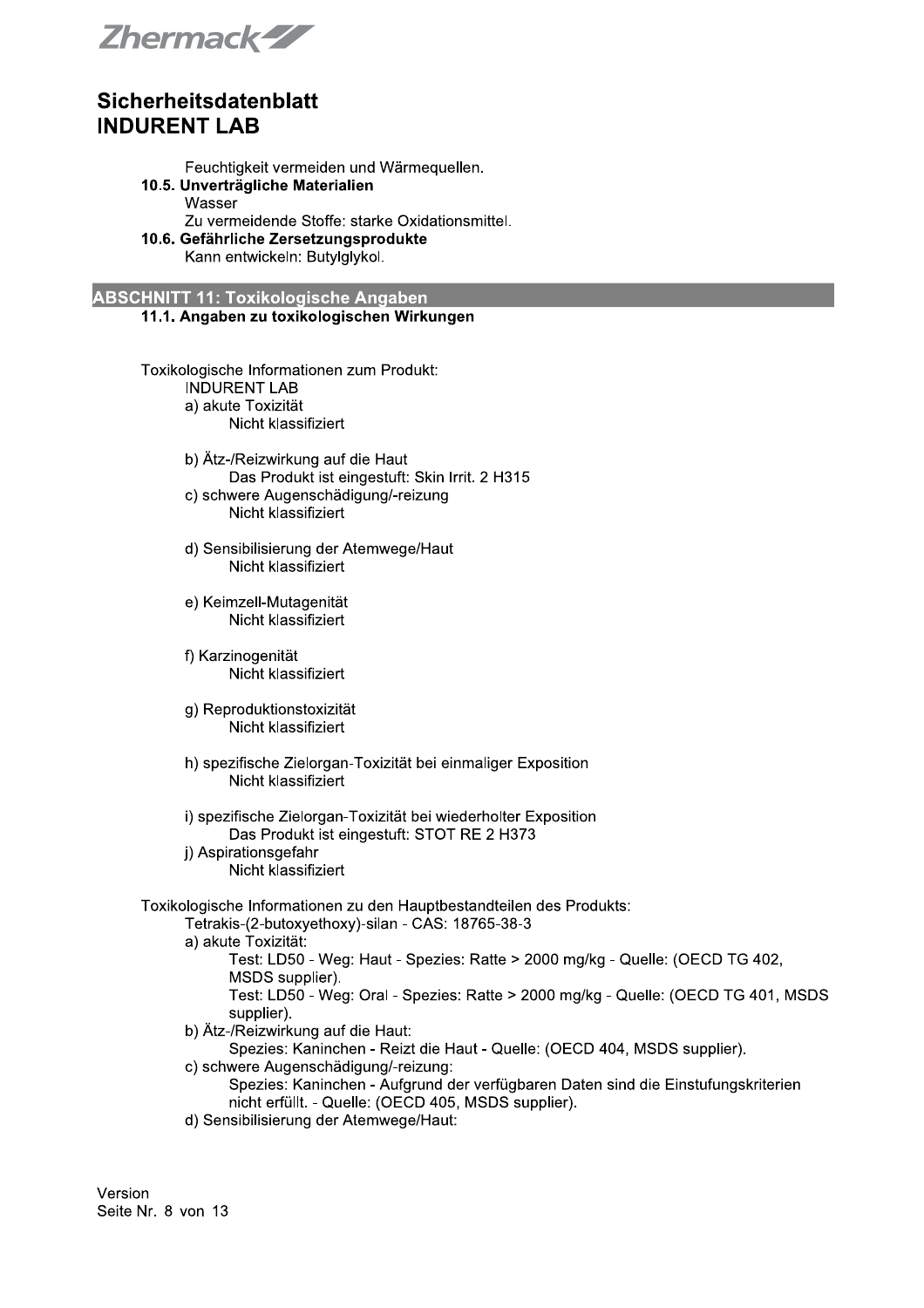Zhermack-ZZ

Feuchtigkeit vermeiden und Wärmequellen.

- 10.5. Unverträgliche Materialien Wasser
	- Zu vermeidende Stoffe: starke Oxidationsmittel.
- 10.6. Gefährliche Zersetzungsprodukte

Kann entwickeln: Butylglykol.

**ABSCHNITT 11: Toxikologische Angaben** 11.1. Angaben zu toxikologischen Wirkungen

> Toxikologische Informationen zum Produkt: **INDURENT LAB** a) akute Toxizität Nicht klassifiziert

> > b) Ätz-/Reizwirkung auf die Haut Das Produkt ist eingestuft: Skin Irrit. 2 H315 c) schwere Augenschädigung/-reizung

Nicht klassifiziert

- d) Sensibilisierung der Atemwege/Haut Nicht klassifiziert
- e) Keimzell-Mutagenität Nicht klassifiziert
- f) Karzinogenität Nicht klassifiziert
- g) Reproduktionstoxizität Nicht klassifiziert
- h) spezifische Zielorgan-Toxizität bei einmaliger Exposition Nicht klassifiziert
- i) spezifische Zielorgan-Toxizität bei wiederholter Exposition Das Produkt ist eingestuft: STOT RE 2 H373 j) Aspirationsgefahr
	- Nicht klassifiziert
- Toxikologische Informationen zu den Hauptbestandteilen des Produkts:
	- Tetrakis-(2-butoxyethoxy)-silan CAS: 18765-38-3
	- a) akute Toxizität:
		- Test: LD50 Weg: Haut Spezies: Ratte > 2000 mg/kg Quelle: (OECD TG 402, MSDS supplier).
		- Test: LD50 Weg: Oral Spezies: Ratte > 2000 mg/kg Quelle: (OECD TG 401, MSDS supplier).
	- b) Ätz-/Reizwirkung auf die Haut:
		- Spezies: Kaninchen Reizt die Haut Quelle: (OECD 404, MSDS supplier).
	- c) schwere Augenschädigung/-reizung:
		- Spezies: Kaninchen Aufgrund der verfügbaren Daten sind die Einstufungskriterien nicht erfüllt. - Quelle: (OECD 405, MSDS supplier).
	- d) Sensibilisierung der Atemwege/Haut: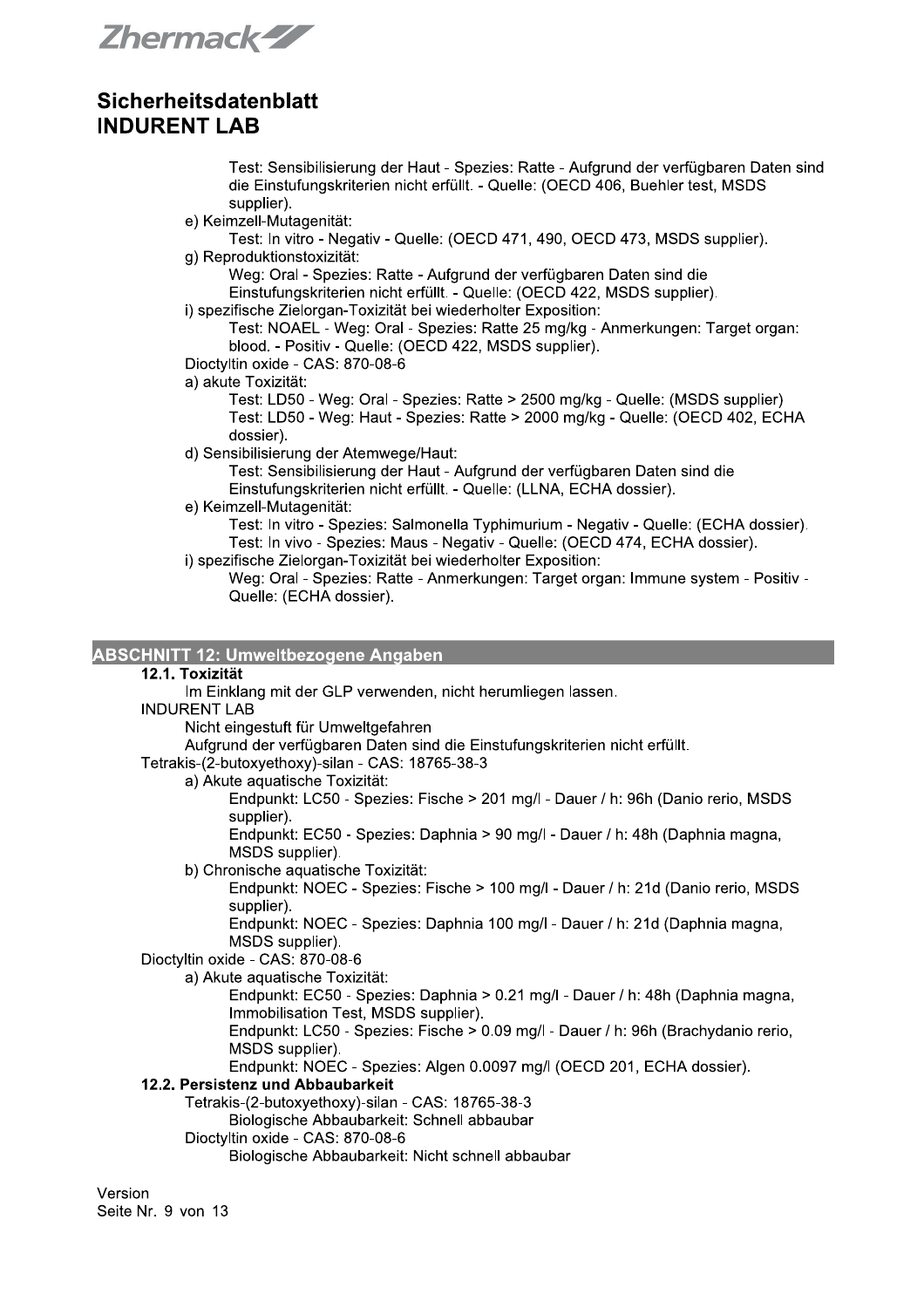Zhermack-ZZ

Test: Sensibilisierung der Haut - Spezies: Ratte - Aufgrund der verfügbaren Daten sind die Einstufungskriterien nicht erfüllt. - Quelle: (OECD 406, Buehler test, MSDS supplier).

e) Keimzell-Mutagenität:

Test: In vitro - Negativ - Quelle: (OECD 471, 490, OECD 473, MSDS supplier). g) Reproduktionstoxizität:

Weg: Oral - Spezies: Ratte - Aufgrund der verfügbaren Daten sind die

Einstufungskriterien nicht erfüllt. - Quelle: (OECD 422, MSDS supplier).

i) spezifische Zielorgan-Toxizität bei wiederholter Exposition:

Test: NOAEL - Weg: Oral - Spezies: Ratte 25 mg/kg - Anmerkungen: Target organ: blood. - Positiv - Quelle: (OECD 422, MSDS supplier).

- Dioctyltin oxide CAS: 870-08-6
- a) akute Toxizität:

Test: LD50 - Weg: Oral - Spezies: Ratte > 2500 mg/kg - Quelle: (MSDS supplier) Test: LD50 - Weg: Haut - Spezies: Ratte > 2000 mg/kg - Quelle: (OECD 402, ECHA dossier).

d) Sensibilisierung der Atemwege/Haut:

Test: Sensibilisierung der Haut - Aufgrund der verfügbaren Daten sind die Einstufungskriterien nicht erfüllt. - Quelle: (LLNA, ECHA dossier).

e) Keimzell-Mutagenität:

Test: In vitro - Spezies: Salmonella Typhimurium - Negativ - Quelle: (ECHA dossier). Test: In vivo - Spezies: Maus - Negativ - Quelle: (OECD 474, ECHA dossier).

i) spezifische Zielorgan-Toxizität bei wiederholter Exposition:

Weg: Oral - Spezies: Ratte - Anmerkungen: Target organ: Immune system - Positiv -Quelle: (ECHA dossier).

### **ABSCHNITT 12: Umweltbezogene Angaben**

#### 12.1. Toxizität

Im Einklang mit der GLP verwenden, nicht herumliegen lassen.

**INDURENT LAB** 

Nicht eingestuft für Umweltgefahren

Aufgrund der verfügbaren Daten sind die Einstufungskriterien nicht erfüllt.

Tetrakis-(2-butoxyethoxy)-silan - CAS: 18765-38-3

a) Akute aguatische Toxizität:

Endpunkt: LC50 - Spezies: Fische > 201 mg/l - Dauer / h: 96h (Danio rerio, MSDS) supplier).

Endpunkt: EC50 - Spezies: Daphnia > 90 mg/l - Dauer / h: 48h (Daphnia magna, MSDS supplier).

b) Chronische aquatische Toxizität:

Endpunkt: NOEC - Spezies: Fische > 100 mg/l - Dauer / h: 21d (Danio rerio, MSDS supplier).

Endpunkt: NOEC - Spezies: Daphnia 100 mg/l - Dauer / h: 21d (Daphnia magna, MSDS supplier).

Dioctyltin oxide - CAS: 870-08-6

a) Akute aquatische Toxizität:

Endpunkt: EC50 - Spezies: Daphnia > 0.21 mg/l - Dauer / h: 48h (Daphnia magna, Immobilisation Test, MSDS supplier).

Endpunkt: LC50 - Spezies: Fische > 0.09 mg/l - Dauer / h: 96h (Brachydanio rerio. MSDS supplier).

Endpunkt: NOEC - Spezies: Algen 0.0097 mg/l (OECD 201, ECHA dossier).

#### 12.2. Persistenz und Abbaubarkeit

Tetrakis-(2-butoxyethoxy)-silan - CAS: 18765-38-3

Biologische Abbaubarkeit: Schnell abbaubar

#### Dioctyltin oxide - CAS: 870-08-6

Biologische Abbaubarkeit: Nicht schnell abbaubar

Version Seite Nr. 9 von 13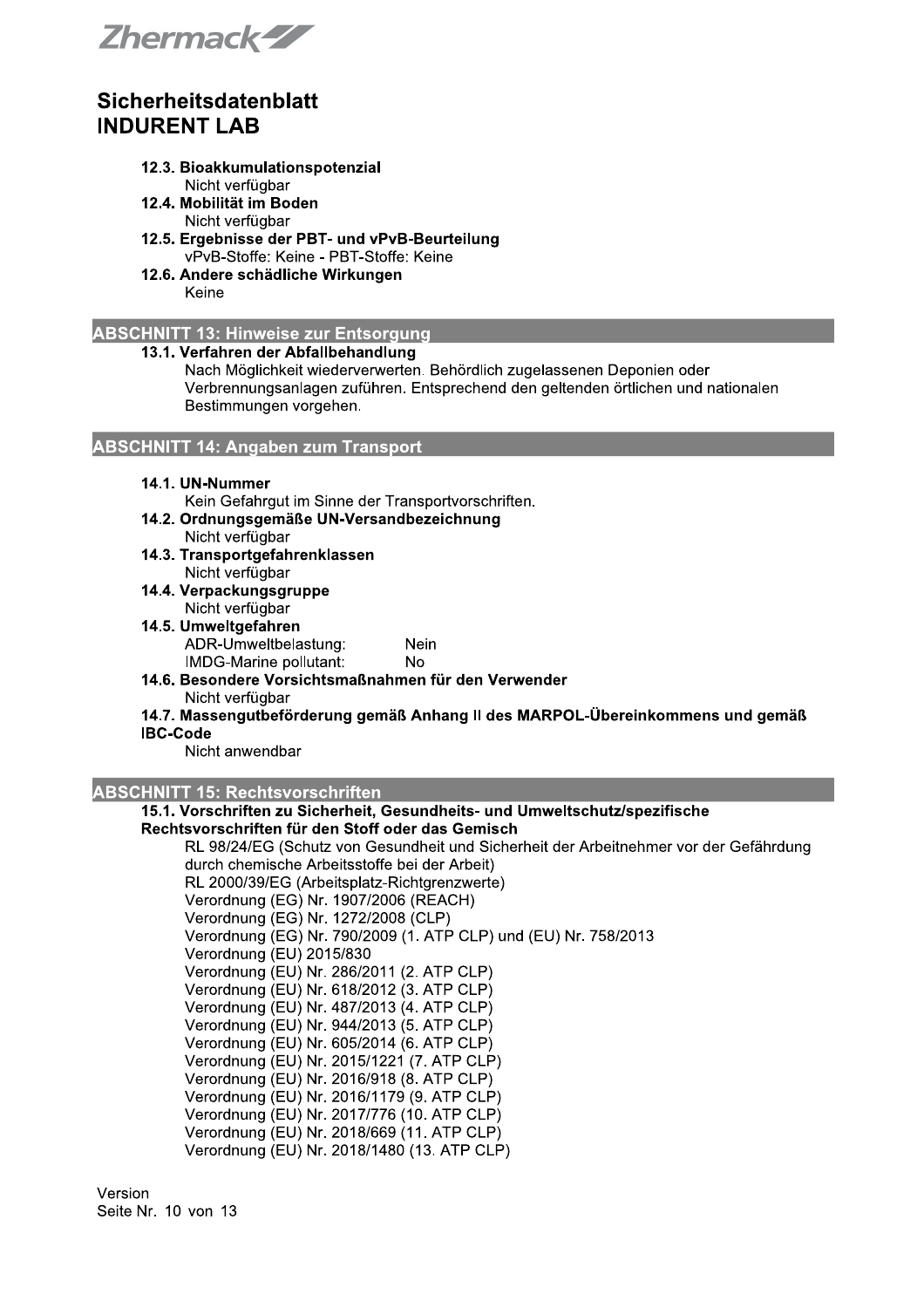Zhermack-ZZ

- 12.3. Bioakkumulationspotenzial
- Nicht verfügbar
- 12.4. Mobilität im Boden Nicht verfügbar
- 12.5. Ergebnisse der PBT- und vPvB-Beurteilung vPvB-Stoffe: Keine - PBT-Stoffe: Keine
- 12.6. Andere schädliche Wirkungen Keine

### **ABSCHNITT 13: Hinweise zur Entsorgung**

#### 13.1. Verfahren der Abfallbehandlung

Nach Möglichkeit wiederverwerten. Behördlich zugelassenen Deponien oder Verbrennungsanlagen zuführen. Entsprechend den geltenden örtlichen und nationalen Bestimmungen vorgehen.

### **ABSCHNITT 14: Angaben zum Transport**

#### 14.1. UN-Nummer

Kein Gefahrgut im Sinne der Transportvorschriften.

- 14.2. Ordnungsgemäße UN-Versandbezeichnung
- Nicht verfügbar 14.3. Transportgefahrenklassen
	- Nicht verfügbar
- 14.4. Verpackungsgruppe
	- Nicht verfügbar
- 14.5. Umweltgefahren ADR-Umweltbelastung: Nein IMDG-Marine pollutant: **No**
- 14.6. Besondere Vorsichtsmaßnahmen für den Verwender Nicht verfügbar
- 14.7. Massengutbeförderung gemäß Anhang II des MARPOL-Übereinkommens und gemäß

#### **IBC-Code**

Nicht anwendbar

### **ABSCHNITT 15: Rechtsvorschriften**

### 15.1. Vorschriften zu Sicherheit, Gesundheits- und Umweltschutz/spezifische

#### Rechtsvorschriften für den Stoff oder das Gemisch

RL 98/24/EG (Schutz von Gesundheit und Sicherheit der Arbeitnehmer vor der Gefährdung durch chemische Arbeitsstoffe bei der Arbeit) RL 2000/39/EG (Arbeitsplatz-Richtgrenzwerte) Verordnung (EG) Nr. 1907/2006 (REACH) Verordnung (EG) Nr. 1272/2008 (CLP) Verordnung (EG) Nr. 790/2009 (1. ATP CLP) und (EU) Nr. 758/2013 Verordnung (EU) 2015/830 Verordnung (EU) Nr. 286/2011 (2. ATP CLP) Verordnung (EU) Nr. 618/2012 (3. ATP CLP) Verordnung (EU) Nr. 487/2013 (4. ATP CLP) Verordnung (EU) Nr. 944/2013 (5. ATP CLP) Verordnung (EU) Nr. 605/2014 (6. ATP CLP) Verordnung (EU) Nr. 2015/1221 (7. ATP CLP) Verordnung (EU) Nr. 2016/918 (8. ATP CLP) Verordnung (EU) Nr. 2016/1179 (9. ATP CLP) Verordnung (EU) Nr. 2017/776 (10. ATP CLP) Verordnung (EU) Nr. 2018/669 (11. ATP CLP) Verordnung (EU) Nr. 2018/1480 (13. ATP CLP)

Version Seite Nr. 10 von 13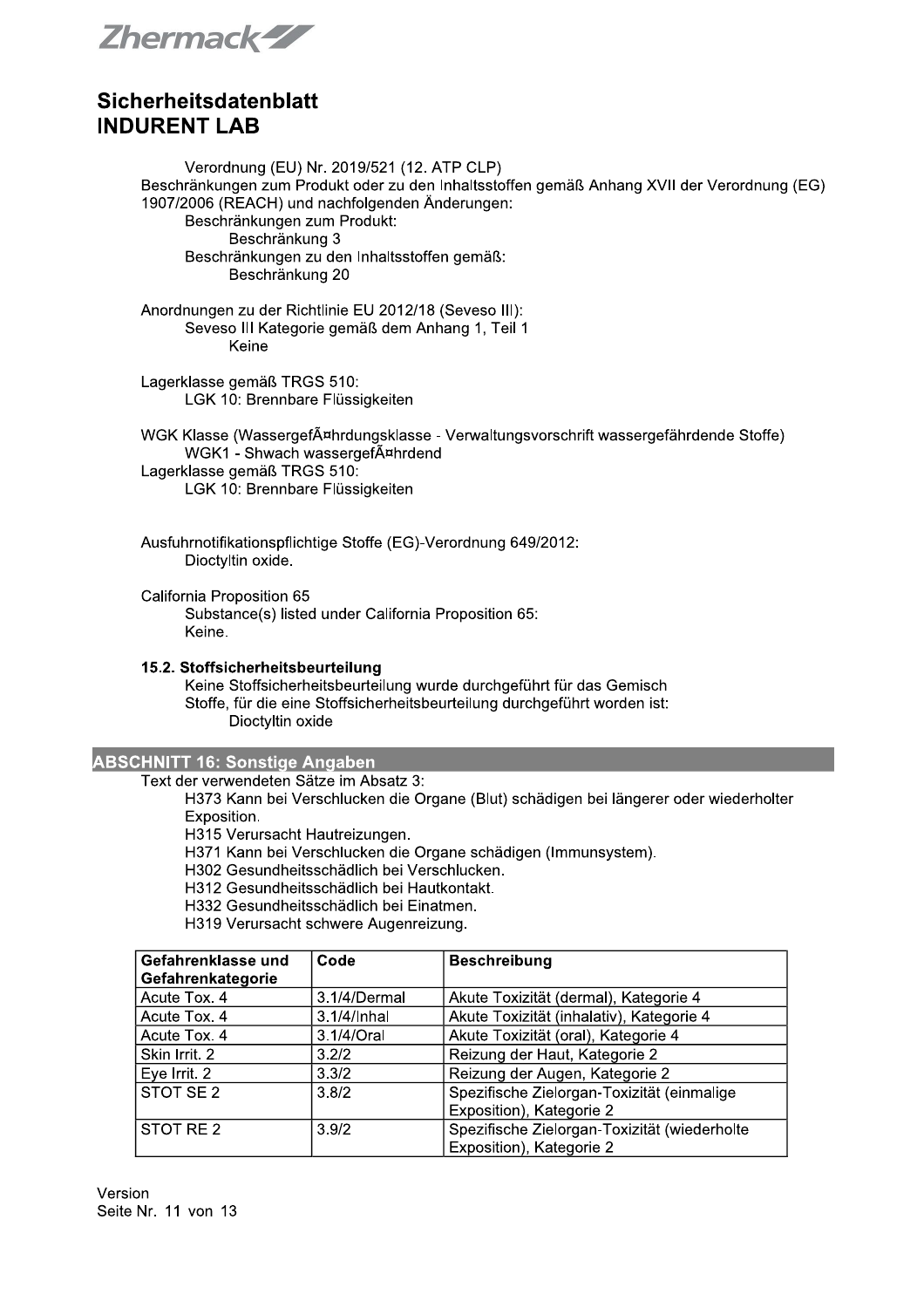Zhermack-ZZ

Verordnung (EU) Nr. 2019/521 (12. ATP CLP) Beschränkungen zum Produkt oder zu den Inhaltsstoffen gemäß Anhang XVII der Verordnung (EG) 1907/2006 (REACH) und nachfolgenden Änderungen: Beschränkungen zum Produkt: Beschränkung 3 Beschränkungen zu den Inhaltsstoffen gemäß: Beschränkung 20 Anordnungen zu der Richtlinie EU 2012/18 (Seveso III): Seveso III Kategorie gemäß dem Anhang 1, Teil 1 Keine

Lagerklasse gemäß TRGS 510: LGK 10: Brennbare Flüssigkeiten

WGK Klasse (WassergefĤhrdungsklasse - Verwaltungsvorschrift wassergefährdende Stoffe) WGK1 - Shwach wassergefĤhrdend Lagerklasse gemäß TRGS 510:

LGK 10: Brennbare Flüssigkeiten

Ausfuhrnotifikationspflichtige Stoffe (EG)-Verordnung 649/2012: Dioctyltin oxide.

California Proposition 65

Substance(s) listed under California Proposition 65: Keine.

#### 15.2. Stoffsicherheitsbeurteilung

Keine Stoffsicherheitsbeurteilung wurde durchgeführt für das Gemisch Stoffe, für die eine Stoffsicherheitsbeurteilung durchgeführt worden ist: Dioctyltin oxide

#### **ABSCHNITT 16: Sonstige Angaben**

Text der verwendeten Sätze im Absatz 3:

H373 Kann bei Verschlucken die Organe (Blut) schädigen bei längerer oder wiederholter Exposition.

H315 Verursacht Hautreizungen.

H371 Kann bei Verschlucken die Organe schädigen (Immunsystem).

H302 Gesundheitsschädlich bei Verschlucken.

H312 Gesundheitsschädlich bei Hautkontakt.

H332 Gesundheitsschädlich bei Einatmen.

H319 Verursacht schwere Augenreizung.

| Gefahrenklasse und   | Code         | <b>Beschreibung</b>                          |
|----------------------|--------------|----------------------------------------------|
| Gefahrenkategorie    |              |                                              |
| Acute Tox. 4         | 3.1/4/Dermal | Akute Toxizität (dermal), Kategorie 4        |
| Acute Tox. 4         | 3.1/4/Inhal  | Akute Toxizität (inhalativ), Kategorie 4     |
| Acute Tox. 4         | 3.1/4/Oral   | Akute Toxizität (oral), Kategorie 4          |
| Skin Irrit. 2        | 3.2/2        | Reizung der Haut, Kategorie 2                |
| Eye Irrit. 2         | 3.3/2        | Reizung der Augen, Kategorie 2               |
| STOT SE <sub>2</sub> | 3.8/2        | Spezifische Zielorgan-Toxizität (einmalige   |
|                      |              | Exposition), Kategorie 2                     |
| STOT RE 2            | 3.9/2        | Spezifische Zielorgan-Toxizität (wiederholte |
|                      |              | Exposition), Kategorie 2                     |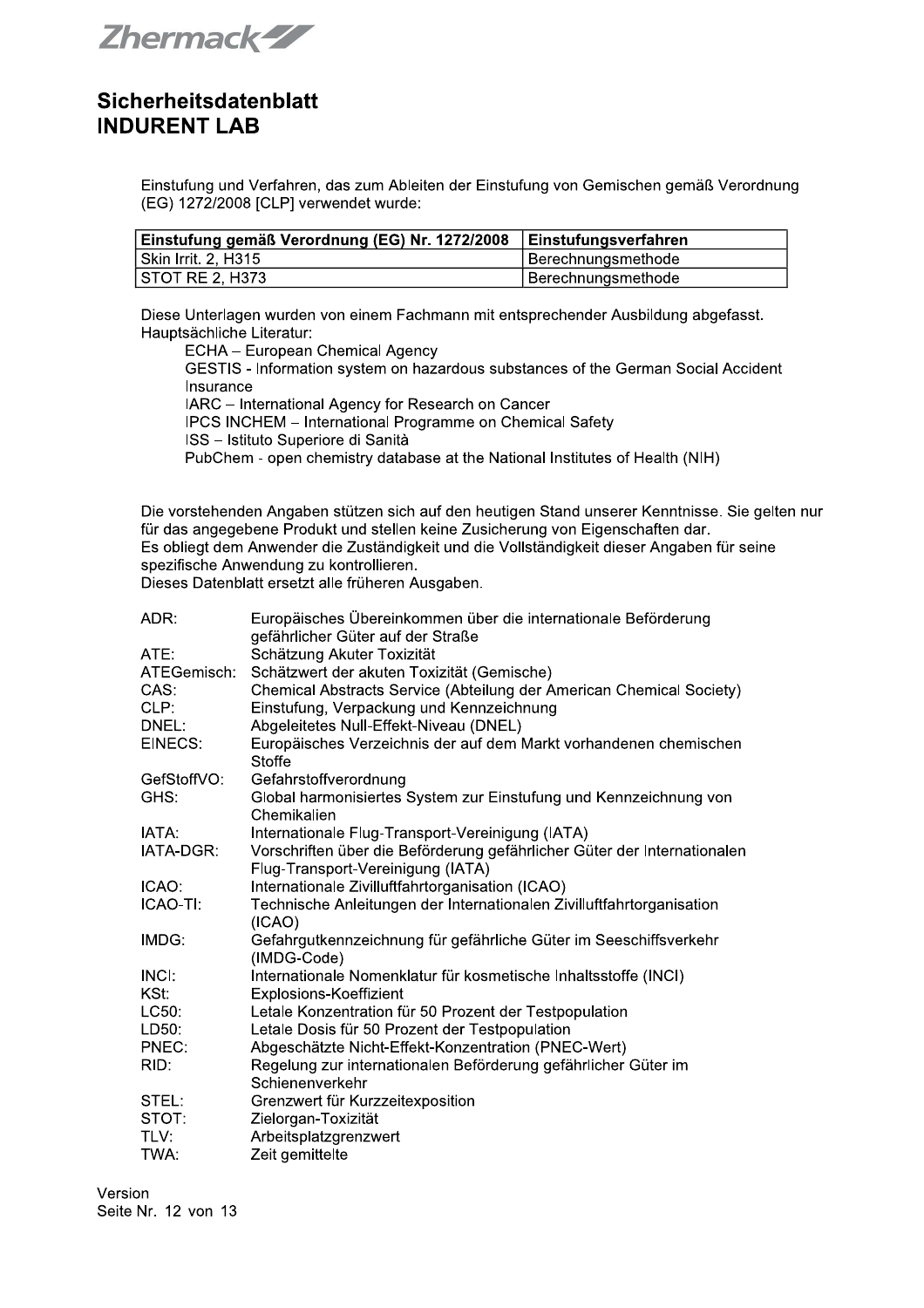Zhermack-ZZ

Einstufung und Verfahren, das zum Ableiten der Einstufung von Gemischen gemäß Verordnung (EG) 1272/2008 [CLP] verwendet wurde:

| Einstufung gemäß Verordnung (EG) Nr. 1272/2008 | ∣ Einstufungsverfahren |
|------------------------------------------------|------------------------|
| Skin Irrit. 2, H315                            | Berechnungsmethode     |
| I STOT RE 2. H373                              | Berechnungsmethode     |

Diese Unterlagen wurden von einem Fachmann mit entsprechender Ausbildung abgefasst. Hauptsächliche Literatur:

ECHA - European Chemical Agency GESTIS - Information system on hazardous substances of the German Social Accident Insurance IARC - International Agency for Research on Cancer IPCS INCHEM - International Programme on Chemical Safety ISS - Istituto Superiore di Sanità PubChem - open chemistry database at the National Institutes of Health (NIH)

Die vorstehenden Angaben stützen sich auf den heutigen Stand unserer Kenntnisse. Sie gelten nur für das angegebene Produkt und stellen keine Zusicherung von Eigenschaften dar. Es obliegt dem Anwender die Zuständigkeit und die Vollständigkeit dieser Angaben für seine spezifische Anwendung zu kontrollieren.

Dieses Datenblatt ersetzt alle früheren Ausgaben.

| ADR:        | Europäisches Übereinkommen über die internationale Beförderung                   |
|-------------|----------------------------------------------------------------------------------|
|             | gefährlicher Güter auf der Straße                                                |
| ATE:        | Schätzung Akuter Toxizität                                                       |
| ATEGemisch: | Schätzwert der akuten Toxizität (Gemische)                                       |
| CAS:        | Chemical Abstracts Service (Abteilung der American Chemical Society)             |
| CLP:        | Einstufung, Verpackung und Kennzeichnung                                         |
| DNEL:       | Abgeleitetes Null-Effekt-Niveau (DNEL)                                           |
| EINECS:     | Europäisches Verzeichnis der auf dem Markt vorhandenen chemischen<br>Stoffe      |
| GefStoffVO: | Gefahrstoffverordnung                                                            |
| GHS:        | Global harmonisiertes System zur Einstufung und Kennzeichnung von<br>Chemikalien |
| IATA:       | Internationale Flug-Transport-Vereinigung (IATA)                                 |
| IATA-DGR:   | Vorschriften über die Beförderung gefährlicher Güter der Internationalen         |
|             | Flug-Transport-Vereinigung (IATA)                                                |
| ICAO:       | Internationale Zivilluftfahrtorganisation (ICAO)                                 |
| ICAO-TI:    | Technische Anleitungen der Internationalen Zivilluftfahrtorganisation<br>(ICAO)  |
| IMDG:       | Gefahrgutkennzeichnung für gefährliche Güter im Seeschiffsverkehr<br>(IMDG-Code) |
| INCI:       | Internationale Nomenklatur für kosmetische Inhaltsstoffe (INCI)                  |
| KSt:        | Explosions-Koeffizient                                                           |
| LC50:       | Letale Konzentration für 50 Prozent der Testpopulation                           |
| LD50:       | Letale Dosis für 50 Prozent der Testpopulation                                   |
| PNEC:       | Abgeschätzte Nicht-Effekt-Konzentration (PNEC-Wert)                              |
| RID:        | Regelung zur internationalen Beförderung gefährlicher Güter im                   |
|             | Schienenverkehr                                                                  |
| STEL:       | Grenzwert für Kurzzeitexposition                                                 |
| STOT:       | Zielorgan-Toxizität                                                              |
| TLV:        | Arbeitsplatzgrenzwert                                                            |
| TWA:        | Zeit gemittelte                                                                  |
|             |                                                                                  |

Version Seite Nr. 12 von 13